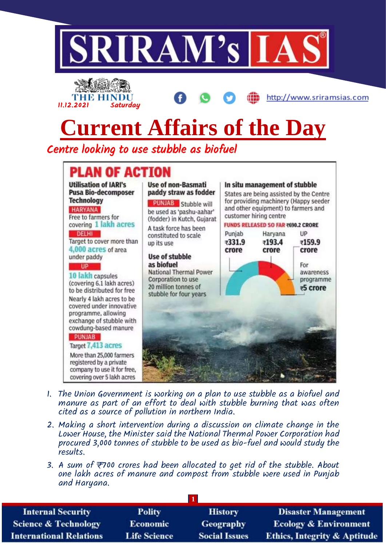



http://www.sriramsias.com

## **Current Affairs of the Day**

Centre looking to use stubble as biofuel



- 1. The Union Government is working on a plan to use stubble as a biofuel and manure as part of an effort to deal with stubble burning that was often cited as a source of pollution in northern India.
- 2. Making a short intervention during a discussion on climate change in the Lower House, the Minister said the National Thermal Power Corporation had procured 3,000 tonnes of stubble to be used as bio-fuel and would study the results.
- 3. A sum of ₹700 crores had been allocated to get rid of the stubble. About one lakh acres of manure and compost from stubble were used in Punjab and Haryana.

| <b>Internal Security</b>        | <b>Polity</b>       | <b>History</b>       | <b>Disaster Management</b>              |
|---------------------------------|---------------------|----------------------|-----------------------------------------|
| <b>Science &amp; Technology</b> | <b>Economic</b>     | <b>Geography</b>     | <b>Ecology &amp; Environment</b>        |
| <b>International Relations</b>  | <b>Life Science</b> | <b>Social Issues</b> | <b>Ethics, Integrity &amp; Aptitude</b> |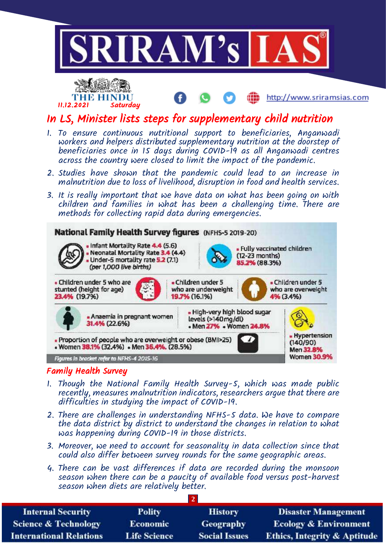

## Family Health Survey

. Anaemia in pregnant women

• Women 38.1% (32.4%) • Men 36.4% (28.5%)

. Proportion of people who are overweight or obese (BMI>25)

31.4% (22.6%)

Figures in bracket refer to NFHS-4 2015-16

23.4% (19.7%)

1. Though the National Family Health Survey-5, which was made public recently, measures malnutrition indicators, researchers argue that there are difficulties in studying the impact of COVID-19.

19.7% (16.1%)

- High-very high blood sugar

- Men 27% - Women 24.8%

 $\prime$ 

levels (>140mg/dl)

4% (3.4%)

- Hypertension

 $(140/90)$ 

Men 32.8% Women 30.9%

- 2. There are challenges in understanding NFHS-5 data. We have to compare the data district by district to understand the changes in relation to what was happening during COVID-19 in those districts.
- 3. Moreover, we need to account for seasonality in data collection since that could also differ between survey rounds for the same geographic areas.
- 4. There can be vast differences if data are recorded during the monsoon season when there can be a paucity of available food versus post-harvest season when diets are relatively better.

| <b>Internal Security</b>        | <b>Polity</b>       | <b>History</b>       | <b>Disaster Management</b>              |
|---------------------------------|---------------------|----------------------|-----------------------------------------|
| <b>Science &amp; Technology</b> | <b>Economic</b>     | <b>Geography</b>     | <b>Ecology &amp; Environment</b>        |
| <b>International Relations</b>  | <b>Life Science</b> | <b>Social Issues</b> | <b>Ethics, Integrity &amp; Aptitude</b> |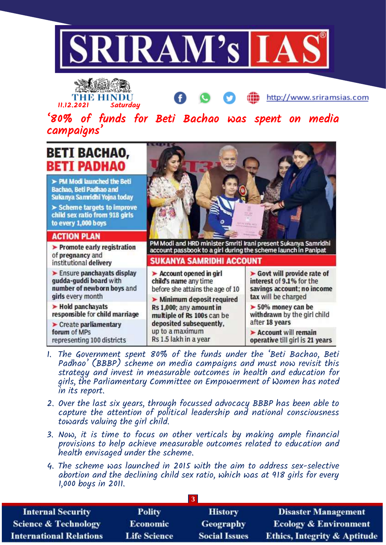

THE HIN 11.12.2021 Saturday

http://www.sriramsias.com

'80% of funds for Beti Bachao was spent on media campaigns'

## **BETI BACHAO, BETI PADHAO** > PM Modi launched the Beti Bachao, Beti Padhao and Sukanya Samridhi Yojna today  $\triangleright$  Scheme targets to improve child sex ratio from 918 girls to every 1,000 boys **ACTION PLAN** PM Modi and HRD minister Smriti Irani present Sukanya Samridhi  $\blacktriangleright$  Promote early registration account passbook to a girl during the scheme launch in Panipat of pregnancy and SUKANYA SAMRIDHI ACCOUNT institutional delivery  $\blacktriangleright$  Ensure panchayats display  $\blacktriangleright$  Govt will provide rate of  $\blacktriangleright$  Account opened in girl gudda-guddi board with child's name any time interest of 9.1% for the number of newborn boys and savings account; no income before she attains the age of 10 girls every month tax will be charged > Minimum deposit required  $\blacktriangleright$  Hold panchayats Rs 1,000; any amount in  $> 50\%$  money can be responsible for child marriage withdrawn by the girl child multiple of Rs 100s can be after 18 years deposited subsequently.  $\blacktriangleright$  Create parliamentary up to a maximum forum of MPs Account will remain Rs 1.5 lakh in a year representing 100 districts operative till girl is 21 years

- 1. The Government spent 80% of the funds under the 'Beti Bachao, Beti Padhao' (BBBP) scheme on media campaigns and must now revisit this strategy and invest in measurable outcomes in health and education for girls, the Parliamentary Committee on Empowerment of Women has noted in its report.
- 2. Over the last six years, through focussed advocacy BBBP has been able to capture the attention of political leadership and national consciousness towards valuing the girl child.
- 3. Now, it is time to focus on other verticals by making ample financial provisions to help achieve measurable outcomes related to education and health envisaged under the scheme.
- 4. The scheme was launched in 2015 with the aim to address sex-selective abortion and the declining child sex ratio, which was at 918 girls for every 1,000 boys in 2011.

| <b>Internal Security</b>        | Polity              | <b>History</b>       | <b>Disaster Management</b>              |
|---------------------------------|---------------------|----------------------|-----------------------------------------|
| <b>Science &amp; Technology</b> | <b>Economic</b>     | Geography            | <b>Ecology &amp; Environment</b>        |
| <b>International Relations</b>  | <b>Life Science</b> | <b>Social Issues</b> | <b>Ethics, Integrity &amp; Aptitude</b> |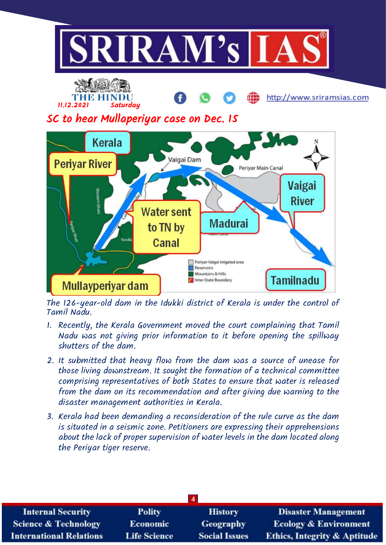



The 126-year-old dam in the Idukki district of Kerala is under the control of Tamil Nadu.

- 1. Recently, the Kerala Government moved the court complaining that Tamil Nadu was not giving prior information to it before opening the spillway shutters of the dam.
- 2. It submitted that heavy flow from the dam was a source of unease for those living downstream. It sought the formation of a technical committee comprising representatives of both States to ensure that water is released from the dam on its recommendation and after giving due warning to the disaster management authorities in Kerala.
- 3. Kerala had been demanding a reconsideration of the rule curve as the dam is situated in a seismic zone. Petitioners are expressing their apprehensions about the lack of proper supervision of water levels in the dam located along the Periyar tiger reserve.

| $\overline{4}$                  |                     |                      |                                         |
|---------------------------------|---------------------|----------------------|-----------------------------------------|
| <b>Internal Security</b>        | <b>Polity</b>       | <b>History</b>       | <b>Disaster Management</b>              |
| <b>Science &amp; Technology</b> | <b>Economic</b>     | Geography            | <b>Ecology &amp; Environment</b>        |
| <b>International Relations</b>  | <b>Life Science</b> | <b>Social Issues</b> | <b>Ethics, Integrity &amp; Aptitude</b> |